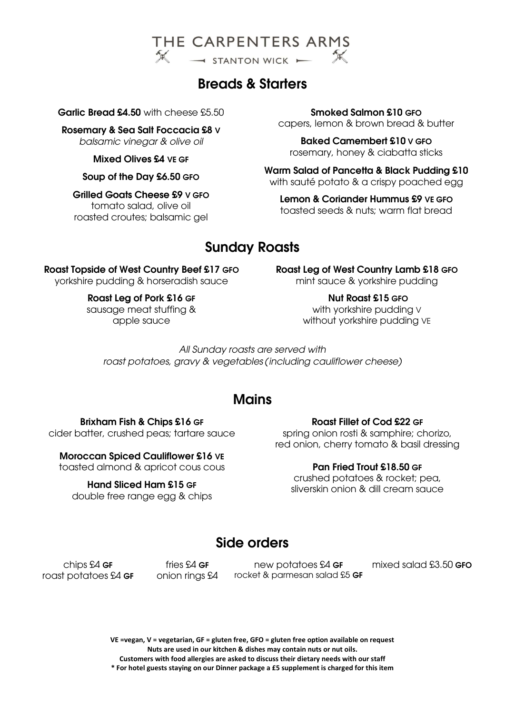

# Breads & Starters

Garlic Bread £4.50 with cheese £5.50

Rosemary & Sea Salt Foccacia £8 V balsamic vinegar & olive oil

Mixed Olives £4 VE GF

Soup of the Day £6.50 GFO

Grilled Goats Cheese £9 V GFO tomato salad, olive oil roasted croutes; balsamic gel

### Smoked Salmon £10 GFO

capers, lemon & brown bread & butter

Baked Camembert £10 V GFO rosemary, honey & ciabatta sticks

Warm Salad of Pancetta & Black Pudding £10 with sauté potato & a crispy poached egg

Lemon & Coriander Hummus £9 VE GFO toasted seeds & nuts; warm flat bread

# Sunday Roasts

### Roast Topside of West Country Beef £17 GFO

yorkshire pudding & horseradish sauce

### Roast Leg of Pork £16 GF

sausage meat stuffing & apple sauce

Roast Leg of West Country Lamb £18 GFO mint sauce & yorkshire pudding

> Nut Roast £15 GFO with yorkshire pudding V without yorkshire pudding VE

All Sunday roasts are served with roast potatoes, gravy & vegetables (including cauliflower cheese)

# Mains

## Brixham Fish & Chips £16 GF cider batter, crushed peas; tartare sauce

# Moroccan Spiced Cauliflower £16 VE

toasted almond & apricot cous cous

Hand Sliced Ham £15 GF double free range egg & chips

#### Roast Fillet of Cod £22 GF

spring onion rosti & samphire; chorizo, red onion, cherry tomato & basil dressing

## Pan Fried Trout £18.50 GF

crushed potatoes & rocket; pea, sliverskin onion & dill cream sauce

# Side orders

chips £4 GF roast potatoes £4 GF

fries  $64$  GF onion rings £4

new potatoes £4 GF rocket & parmesan salad £5 GF mixed salad £3.50 GFO

VE =vegan, V = vegetarian, GF = gluten free, GFO = gluten free option available on request Nuts are used in our kitchen & dishes may contain nuts or nut oils. Customers with food allergies are asked to discuss their dietary needs with our staff

\* For hotel guests staying on our Dinner package a £5 supplement is charged for this item